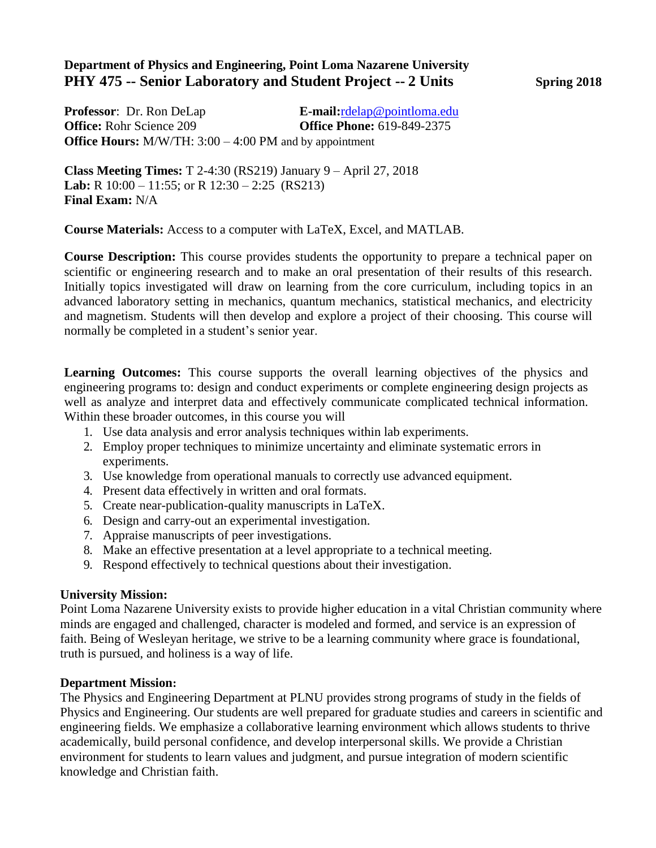#### **Department of Physics and Engineering, Point Loma Nazarene University PHY 475 -- Senior Laboratory and Student Project -- 2 Units Spring 2018**

**Professor**: Dr. Ron DeLap **E-mail:**[rdelap@pointloma.edu](mailto:rdelap@pointloma.edu) **Office:** Rohr Science 209 **Office Phone:** 619-849-2375 **Office Hours:** M/W/TH: 3:00 – 4:00 PM and by appointment

**Class Meeting Times:** T 2-4:30 (RS219) January 9 – April 27, 2018 **Lab:** R 10:00 – 11:55; or R 12:30 – 2:25 (RS213) **Final Exam:** N/A

**Course Materials:** Access to a computer with LaTeX, Excel, and MATLAB.

**Course Description:** This course provides students the opportunity to prepare a technical paper on scientific or engineering research and to make an oral presentation of their results of this research. Initially topics investigated will draw on learning from the core curriculum, including topics in an advanced laboratory setting in mechanics, quantum mechanics, statistical mechanics, and electricity and magnetism. Students will then develop and explore a project of their choosing. This course will normally be completed in a student's senior year.

**Learning Outcomes:** This course supports the overall learning objectives of the physics and engineering programs to: design and conduct experiments or complete engineering design projects as well as analyze and interpret data and effectively communicate complicated technical information. Within these broader outcomes, in this course you will

- 1. Use data analysis and error analysis techniques within lab experiments.
- 2. Employ proper techniques to minimize uncertainty and eliminate systematic errors in experiments.
- 3. Use knowledge from operational manuals to correctly use advanced equipment.
- 4. Present data effectively in written and oral formats.
- 5. Create near-publication-quality manuscripts in LaTeX.
- 6. Design and carry-out an experimental investigation.
- 7. Appraise manuscripts of peer investigations.
- 8. Make an effective presentation at a level appropriate to a technical meeting.
- 9. Respond effectively to technical questions about their investigation.

#### **University Mission:**

Point Loma Nazarene University exists to provide higher education in a vital Christian community where minds are engaged and challenged, character is modeled and formed, and service is an expression of faith. Being of Wesleyan heritage, we strive to be a learning community where grace is foundational, truth is pursued, and holiness is a way of life.

#### **Department Mission:**

The Physics and Engineering Department at PLNU provides strong programs of study in the fields of Physics and Engineering. Our students are well prepared for graduate studies and careers in scientific and engineering fields. We emphasize a collaborative learning environment which allows students to thrive academically, build personal confidence, and develop interpersonal skills. We provide a Christian environment for students to learn values and judgment, and pursue integration of modern scientific knowledge and Christian faith.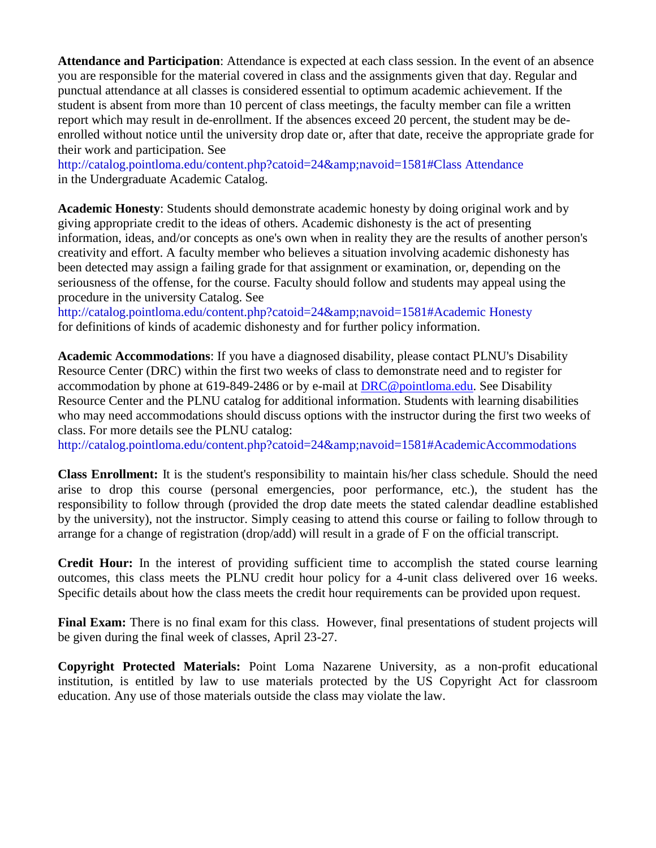**Attendance and Participation**: Attendance is expected at each class session. In the event of an absence you are responsible for the material covered in class and the assignments given that day. Regular and punctual attendance at all classes is considered essential to optimum academic achievement. If the student is absent from more than 10 percent of class meetings, the faculty member can file a written report which may result in de-enrollment. If the absences exceed 20 percent, the student may be deenrolled without notice until the university drop date or, after that date, receive the appropriate grade for their work and participation. See

[http://catalog.pointloma.edu/content.php?catoid=24&navoid=1581#Class A](http://catalog.pointloma.edu/content.php?catoid=24&amp%3Bnavoid=1581&Class)ttendance in the Undergraduate Academic Catalog.

**Academic Honesty**: Students should demonstrate academic honesty by doing original work and by giving appropriate credit to the ideas of others. Academic dishonesty is the act of presenting information, ideas, and/or concepts as one's own when in reality they are the results of another person's creativity and effort. A faculty member who believes a situation involving academic dishonesty has been detected may assign a failing grade for that assignment or examination, or, depending on the seriousness of the offense, for the course. Faculty should follow and students may appeal using the procedure in the university Catalog. See

[http://catalog.pointloma.edu/content.php?catoid=24&navoid=1581#Academic H](http://catalog.pointloma.edu/content.php?catoid=24&amp%3Bnavoid=1581&Academic)onesty for definitions of kinds of academic dishonesty and for further policy information.

**Academic Accommodations**: If you have a diagnosed disability, please contact PLNU's Disability Resource Center (DRC) within the first two weeks of class to demonstrate need and to register for accommodation by phone at 619-849-2486 or by e-mail at [DRC@pointloma.edu.](mailto:DRC@pointloma.edu) See Disability Resource Center and the PLNU catalog for additional information. Students with learning disabilities who may need accommodations should discuss options with the instructor during the first two weeks of class. For more details see the PLNU catalog:

[http://catalog.pointloma.edu/content.php?catoid=24&navoid=1581#AcademicAccommodations](http://catalog.pointloma.edu/content.php?catoid=24&amp%3Bnavoid=1581&AcademicAccommodations)

**Class Enrollment:** It is the student's responsibility to maintain his/her class schedule. Should the need arise to drop this course (personal emergencies, poor performance, etc.), the student has the responsibility to follow through (provided the drop date meets the stated calendar deadline established by the university), not the instructor. Simply ceasing to attend this course or failing to follow through to arrange for a change of registration (drop/add) will result in a grade of F on the official transcript.

**Credit Hour:** In the interest of providing sufficient time to accomplish the stated course learning outcomes, this class meets the PLNU credit hour policy for a 4-unit class delivered over 16 weeks. Specific details about how the class meets the credit hour requirements can be provided upon request.

**Final Exam:** There is no final exam for this class. However, final presentations of student projects will be given during the final week of classes, April 23-27.

**Copyright Protected Materials:** Point Loma Nazarene University, as a non-profit educational institution, is entitled by law to use materials protected by the US Copyright Act for classroom education. Any use of those materials outside the class may violate the law.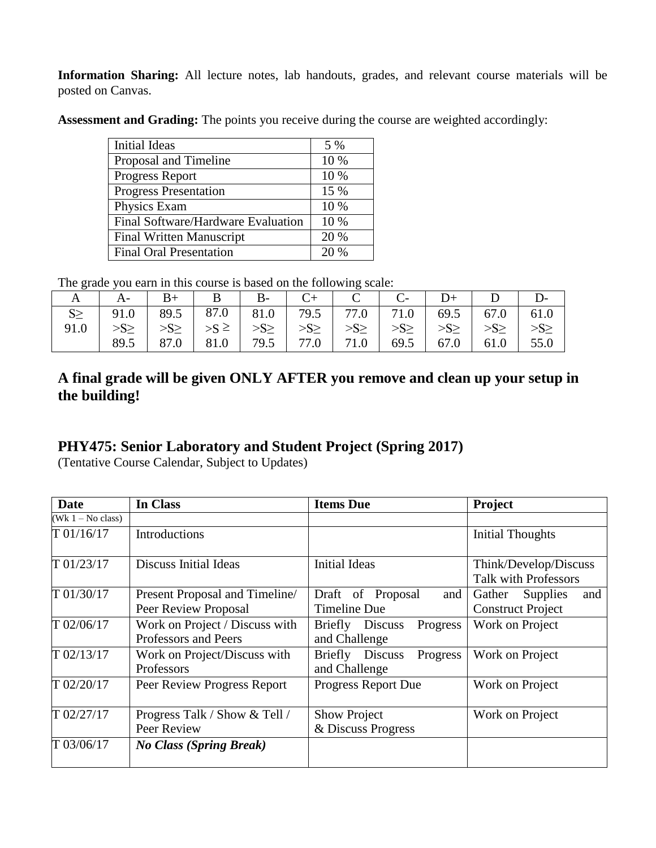**Information Sharing:** All lecture notes, lab handouts, grades, and relevant course materials will be posted on Canvas.

Assessment and Grading: The points you receive during the course are weighted accordingly:

| Initial Ideas                      | 5 %  |
|------------------------------------|------|
| Proposal and Timeline              | 10 % |
| <b>Progress Report</b>             | 10 % |
| <b>Progress Presentation</b>       | 15 % |
| Physics Exam                       | 10 % |
| Final Software/Hardware Evaluation | 10 % |
| <b>Final Written Manuscript</b>    | 20 % |
| <b>Final Oral Presentation</b>     | 20%  |

The grade you earn in this course is based on the following scale:

| ັ    | $\mathsf{A}$                                                          | $\vert B_{+} \vert B \vert B_{-} \vert C_{+} \vert C \vert C_{-} \vert D_{+} \vert D \vert$    |  |  |             |      |
|------|-----------------------------------------------------------------------|------------------------------------------------------------------------------------------------|--|--|-------------|------|
|      | $91.0$   89.5   87.0   81.0   79.5   77.0   71.0   69.5   67.0   61.0 |                                                                                                |  |  |             |      |
| 91.0 |                                                                       | $>>S \ge   >> \ge   >> S \ge   >> \ge   >> \ge   >> \ge   >> \ge   >> \ge   >> \ge   >> \ge  $ |  |  |             |      |
|      | 89.5                                                                  | 87.0   81.0   79.5   77.0   71.0   69.5                                                        |  |  | $67.0$ 61.0 | 55.0 |

## **A final grade will be given ONLY AFTER you remove and clean up your setup in the building!**

# **PHY475: Senior Laboratory and Student Project (Spring 2017)**

(Tentative Course Calendar, Subject to Updates)

| Date                | In Class                                               | <b>Items Due</b>                                | Project                                               |  |
|---------------------|--------------------------------------------------------|-------------------------------------------------|-------------------------------------------------------|--|
| $(Wk 1 - No class)$ |                                                        |                                                 |                                                       |  |
| T 01/16/17          | <b>Introductions</b>                                   |                                                 | <b>Initial Thoughts</b>                               |  |
| T 01/23/17          | <b>Discuss Initial Ideas</b>                           | <b>Initial Ideas</b>                            | Think/Develop/Discuss<br><b>Talk with Professors</b>  |  |
| T 01/30/17          | Present Proposal and Timeline/<br>Peer Review Proposal | Draft of Proposal<br>and<br><b>Timeline Due</b> | Gather<br>Supplies<br>and<br><b>Construct Project</b> |  |
| T 02/06/17          | Work on Project / Discuss with<br>Professors and Peers | Briefly Discuss<br>Progress<br>and Challenge    | Work on Project                                       |  |
| T 02/13/17          | Work on Project/Discuss with<br>Professors             | Briefly Discuss<br>Progress<br>and Challenge    | Work on Project                                       |  |
| T 02/20/17          | Peer Review Progress Report                            | Progress Report Due                             | Work on Project                                       |  |
| T 02/27/17          | Progress Talk / Show & Tell /<br>Peer Review           | <b>Show Project</b><br>& Discuss Progress       | Work on Project                                       |  |
| T 03/06/17          | <b>No Class (Spring Break)</b>                         |                                                 |                                                       |  |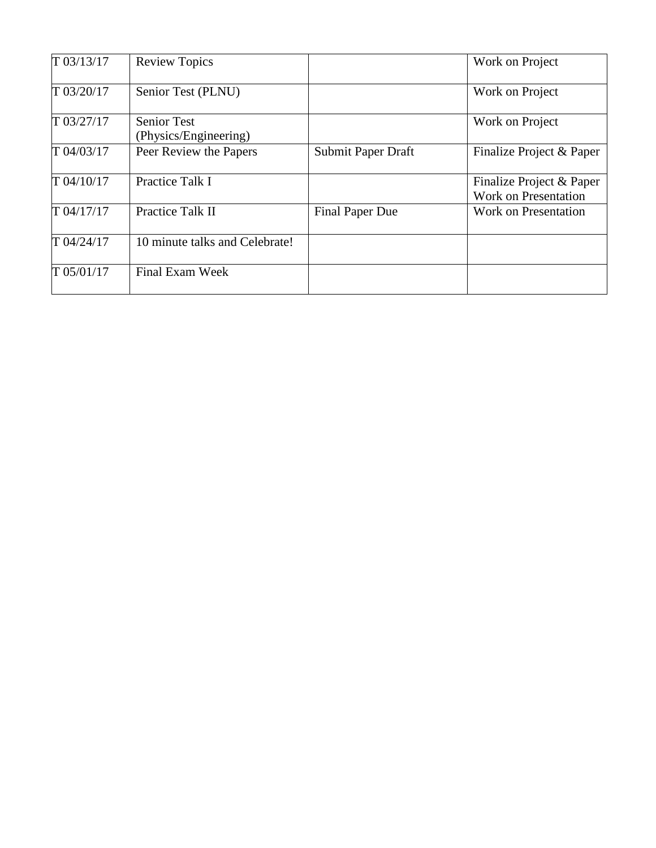| T 03/13/17 | <b>Review Topics</b>                        |                        | Work on Project                                         |
|------------|---------------------------------------------|------------------------|---------------------------------------------------------|
| T 03/20/17 | Senior Test (PLNU)                          |                        | Work on Project                                         |
| T 03/27/17 | <b>Senior Test</b><br>(Physics/Engineering) |                        | Work on Project                                         |
| T 04/03/17 | Peer Review the Papers                      | Submit Paper Draft     | Finalize Project & Paper                                |
| T 04/10/17 | Practice Talk I                             |                        | Finalize Project & Paper<br><b>Work on Presentation</b> |
| T 04/17/17 | Practice Talk II                            | <b>Final Paper Due</b> | Work on Presentation                                    |
| T 04/24/17 | 10 minute talks and Celebrate!              |                        |                                                         |
| T 05/01/17 | Final Exam Week                             |                        |                                                         |